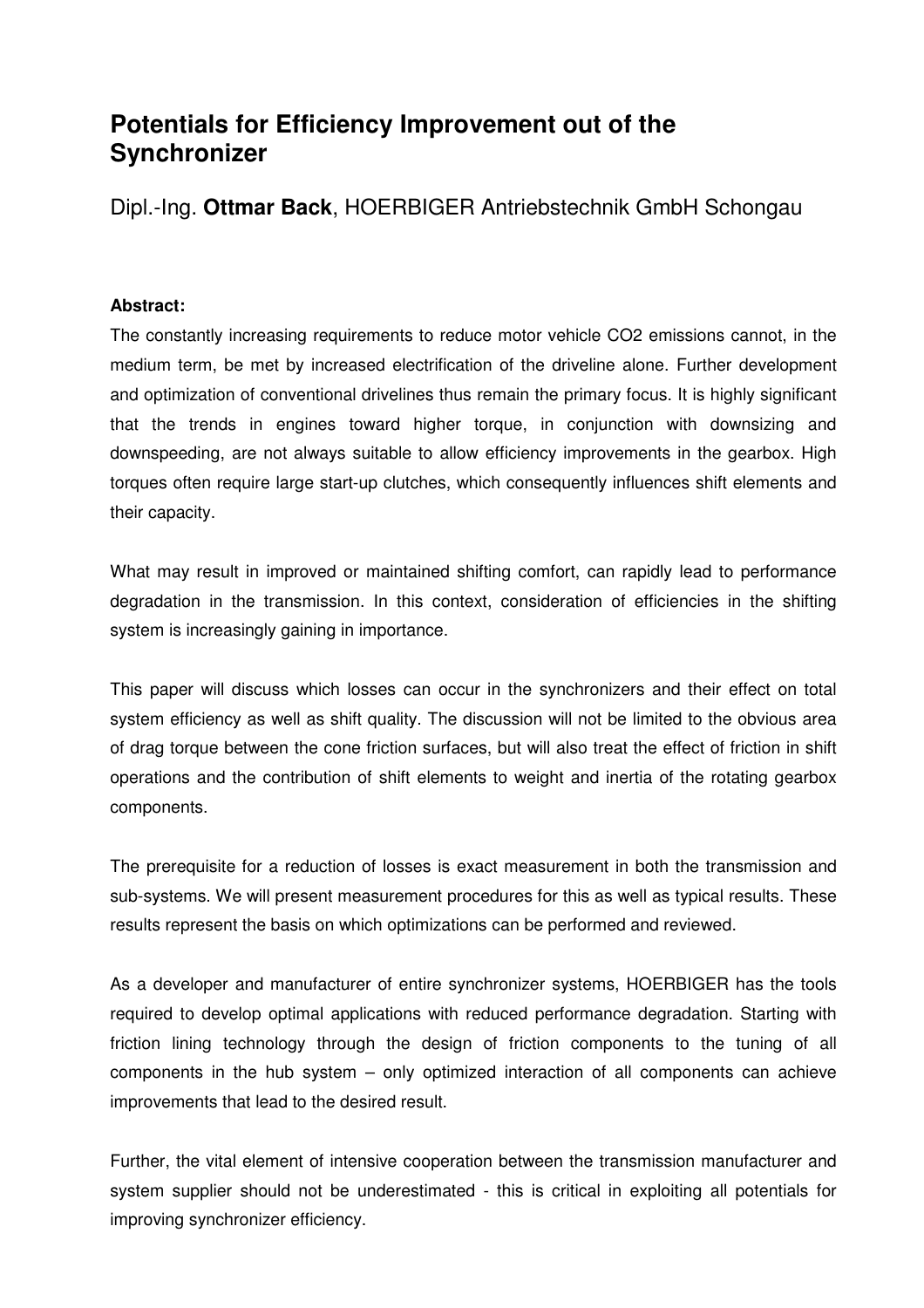# **Potentials for Efficiency Improvement out of the Synchronizer**

Dipl.-Ing. **Ottmar Back**, HOERBIGER Antriebstechnik GmbH Schongau

## **Abstract:**

The constantly increasing requirements to reduce motor vehicle CO2 emissions cannot, in the medium term, be met by increased electrification of the driveline alone. Further development and optimization of conventional drivelines thus remain the primary focus. It is highly significant that the trends in engines toward higher torque, in conjunction with downsizing and downspeeding, are not always suitable to allow efficiency improvements in the gearbox. High torques often require large start-up clutches, which consequently influences shift elements and their capacity.

What may result in improved or maintained shifting comfort, can rapidly lead to performance degradation in the transmission. In this context, consideration of efficiencies in the shifting system is increasingly gaining in importance.

This paper will discuss which losses can occur in the synchronizers and their effect on total system efficiency as well as shift quality. The discussion will not be limited to the obvious area of drag torque between the cone friction surfaces, but will also treat the effect of friction in shift operations and the contribution of shift elements to weight and inertia of the rotating gearbox components.

The prerequisite for a reduction of losses is exact measurement in both the transmission and sub-systems. We will present measurement procedures for this as well as typical results. These results represent the basis on which optimizations can be performed and reviewed.

As a developer and manufacturer of entire synchronizer systems, HOERBIGER has the tools required to develop optimal applications with reduced performance degradation. Starting with friction lining technology through the design of friction components to the tuning of all components in the hub system – only optimized interaction of all components can achieve improvements that lead to the desired result.

Further, the vital element of intensive cooperation between the transmission manufacturer and system supplier should not be underestimated - this is critical in exploiting all potentials for improving synchronizer efficiency.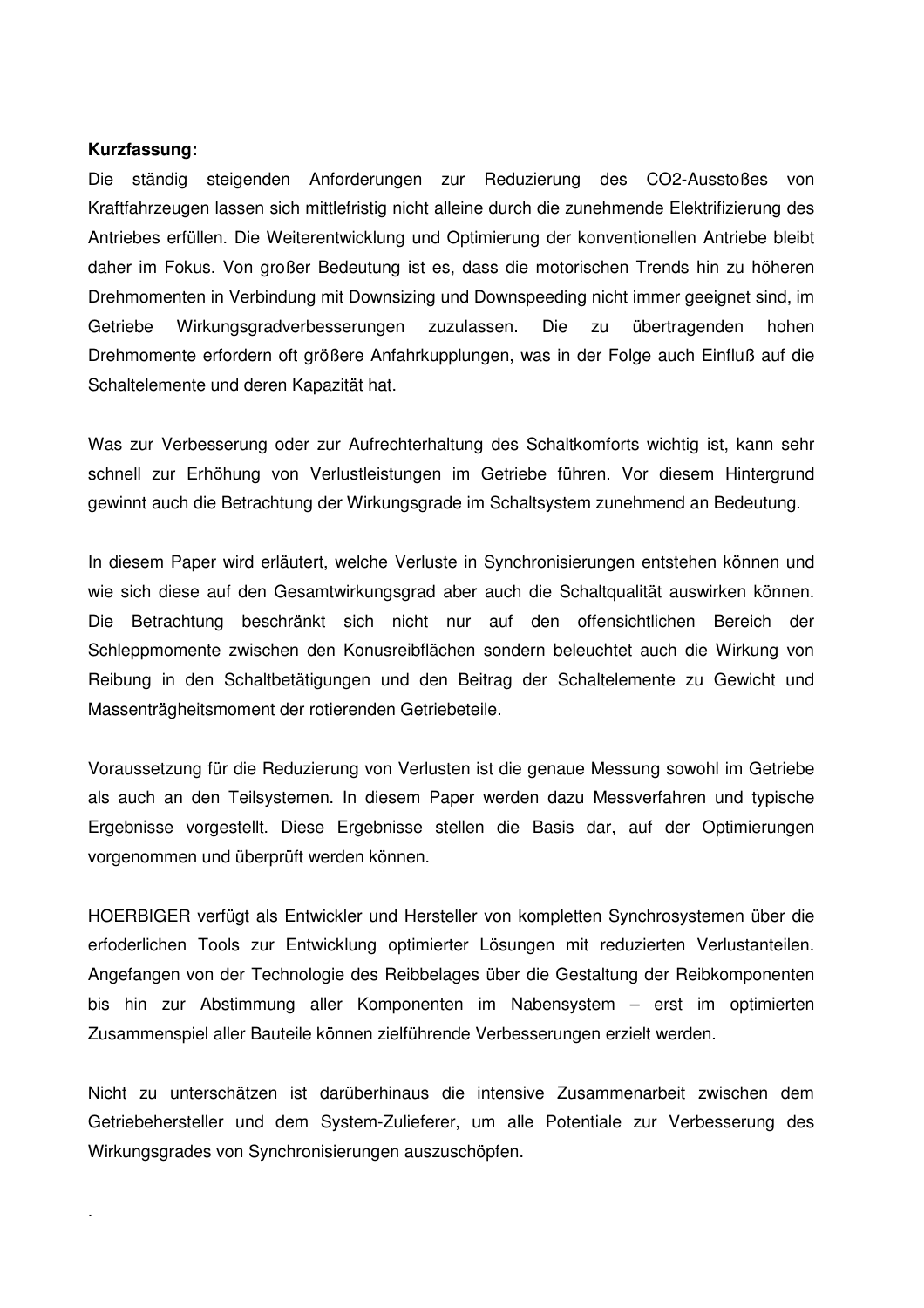#### **Kurzfassung:**

.

Die ständig steigenden Anforderungen zur Reduzierung des CO2-Ausstoßes von Kraftfahrzeugen lassen sich mittlefristig nicht alleine durch die zunehmende Elektrifizierung des Antriebes erfüllen. Die Weiterentwicklung und Optimierung der konventionellen Antriebe bleibt daher im Fokus. Von großer Bedeutung ist es, dass die motorischen Trends hin zu höheren Drehmomenten in Verbindung mit Downsizing und Downspeeding nicht immer geeignet sind, im Getriebe Wirkungsgradverbesserungen zuzulassen. Die zu übertragenden hohen Drehmomente erfordern oft größere Anfahrkupplungen, was in der Folge auch Einfluß auf die Schaltelemente und deren Kapazität hat.

Was zur Verbesserung oder zur Aufrechterhaltung des Schaltkomforts wichtig ist, kann sehr schnell zur Erhöhung von Verlustleistungen im Getriebe führen. Vor diesem Hintergrund gewinnt auch die Betrachtung der Wirkungsgrade im Schaltsystem zunehmend an Bedeutung.

In diesem Paper wird erläutert, welche Verluste in Synchronisierungen entstehen können und wie sich diese auf den Gesamtwirkungsgrad aber auch die Schaltqualität auswirken können. Die Betrachtung beschränkt sich nicht nur auf den offensichtlichen Bereich der Schleppmomente zwischen den Konusreibflächen sondern beleuchtet auch die Wirkung von Reibung in den Schaltbetätigungen und den Beitrag der Schaltelemente zu Gewicht und Massenträgheitsmoment der rotierenden Getriebeteile.

Voraussetzung für die Reduzierung von Verlusten ist die genaue Messung sowohl im Getriebe als auch an den Teilsystemen. In diesem Paper werden dazu Messverfahren und typische Ergebnisse vorgestellt. Diese Ergebnisse stellen die Basis dar, auf der Optimierungen vorgenommen und überprüft werden können.

HOERBIGER verfügt als Entwickler und Hersteller von kompletten Synchrosystemen über die erfoderlichen Tools zur Entwicklung optimierter Lösungen mit reduzierten Verlustanteilen. Angefangen von der Technologie des Reibbelages über die Gestaltung der Reibkomponenten bis hin zur Abstimmung aller Komponenten im Nabensystem – erst im optimierten Zusammenspiel aller Bauteile können zielführende Verbesserungen erzielt werden.

Nicht zu unterschätzen ist darüberhinaus die intensive Zusammenarbeit zwischen dem Getriebehersteller und dem System-Zulieferer, um alle Potentiale zur Verbesserung des Wirkungsgrades von Synchronisierungen auszuschöpfen.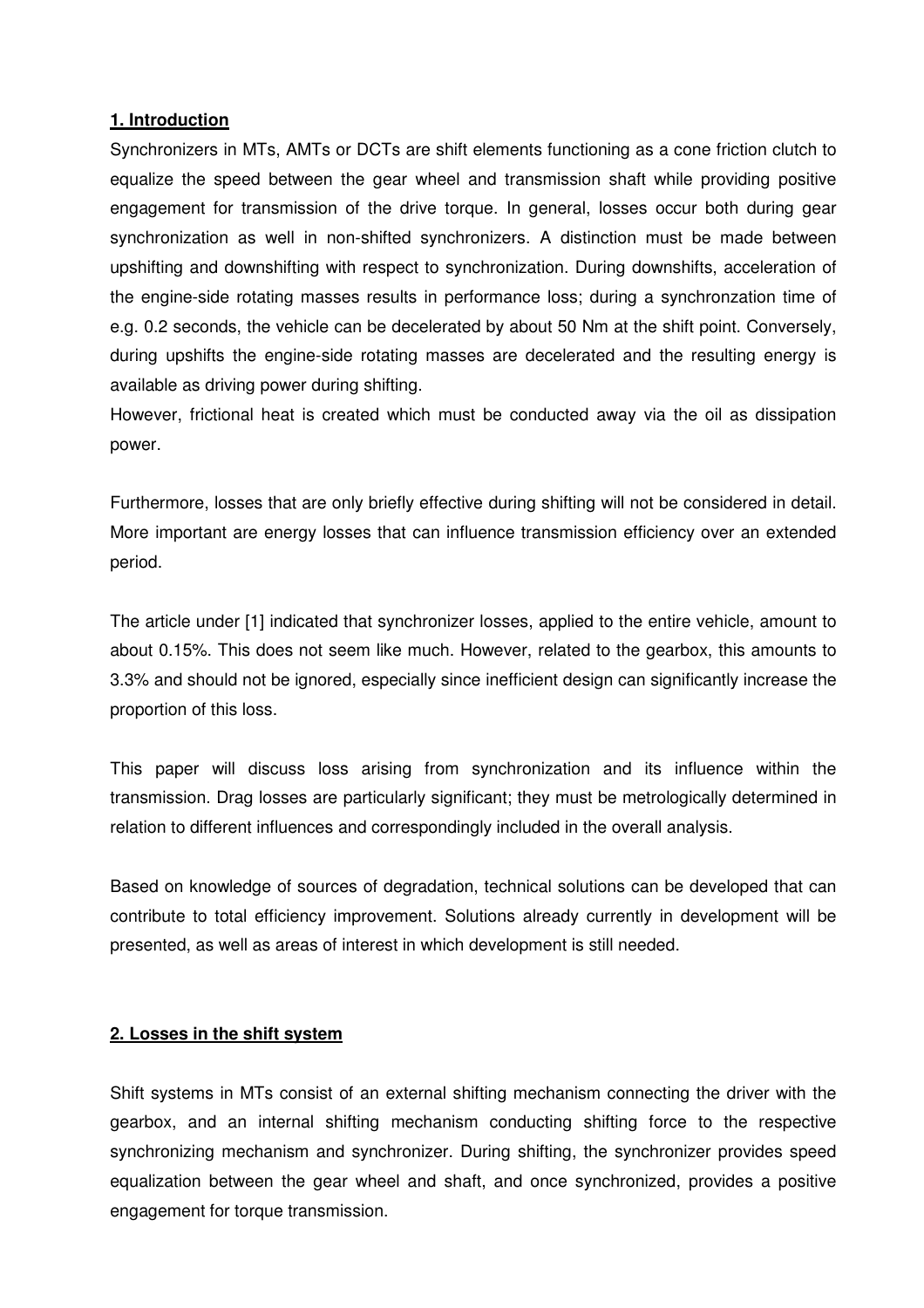## **1. Introduction**

Synchronizers in MTs, AMTs or DCTs are shift elements functioning as a cone friction clutch to equalize the speed between the gear wheel and transmission shaft while providing positive engagement for transmission of the drive torque. In general, losses occur both during gear synchronization as well in non-shifted synchronizers. A distinction must be made between upshifting and downshifting with respect to synchronization. During downshifts, acceleration of the engine-side rotating masses results in performance loss; during a synchronzation time of e.g. 0.2 seconds, the vehicle can be decelerated by about 50 Nm at the shift point. Conversely, during upshifts the engine-side rotating masses are decelerated and the resulting energy is available as driving power during shifting.

However, frictional heat is created which must be conducted away via the oil as dissipation power.

Furthermore, losses that are only briefly effective during shifting will not be considered in detail. More important are energy losses that can influence transmission efficiency over an extended period.

The article under [1] indicated that synchronizer losses, applied to the entire vehicle, amount to about 0.15%. This does not seem like much. However, related to the gearbox, this amounts to 3.3% and should not be ignored, especially since inefficient design can significantly increase the proportion of this loss.

This paper will discuss loss arising from synchronization and its influence within the transmission. Drag losses are particularly significant; they must be metrologically determined in relation to different influences and correspondingly included in the overall analysis.

Based on knowledge of sources of degradation, technical solutions can be developed that can contribute to total efficiency improvement. Solutions already currently in development will be presented, as well as areas of interest in which development is still needed.

#### **2. Losses in the shift system**

Shift systems in MTs consist of an external shifting mechanism connecting the driver with the gearbox, and an internal shifting mechanism conducting shifting force to the respective synchronizing mechanism and synchronizer. During shifting, the synchronizer provides speed equalization between the gear wheel and shaft, and once synchronized, provides a positive engagement for torque transmission.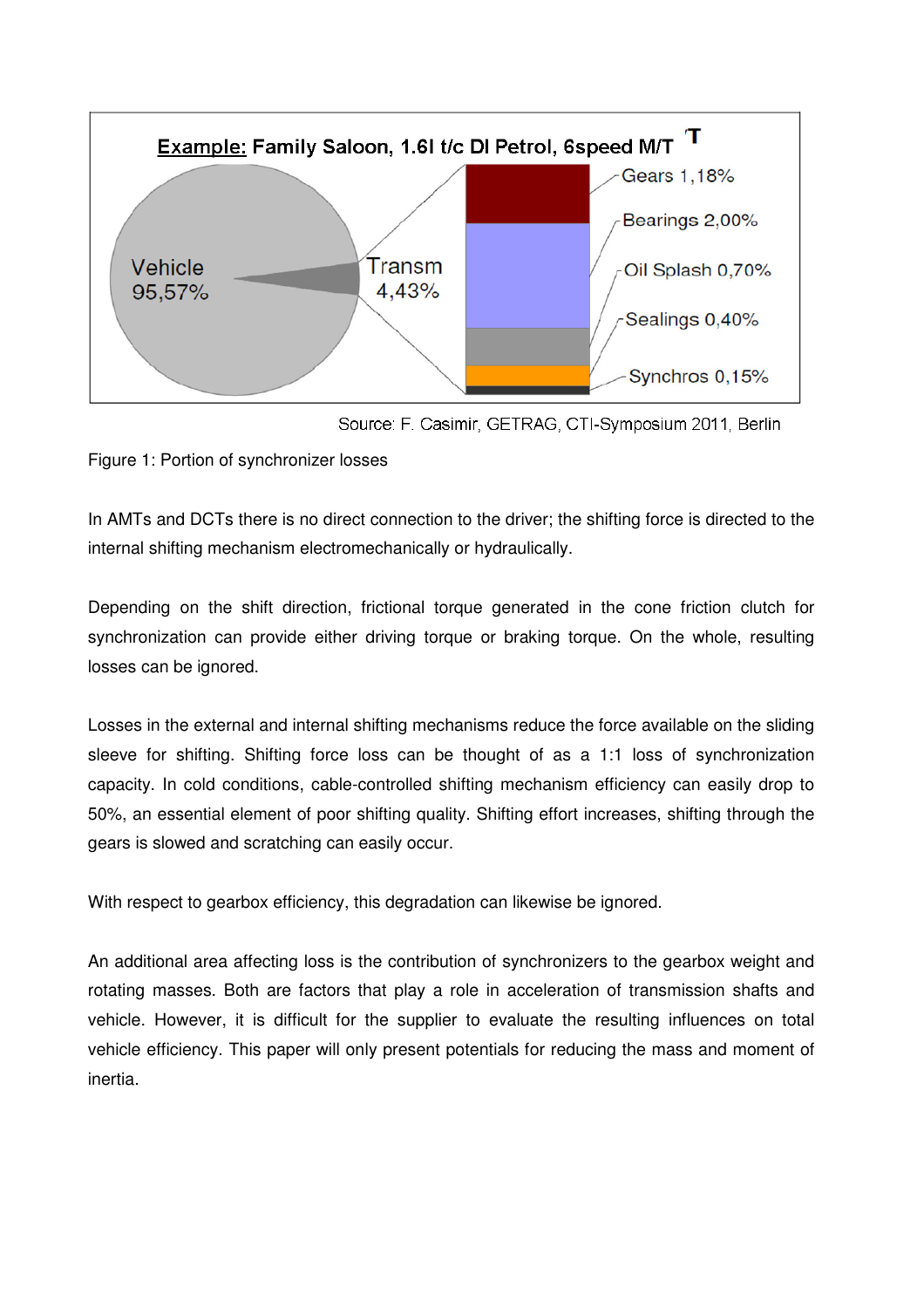



Figure 1: Portion of synchronizer losses

In AMTs and DCTs there is no direct connection to the driver; the shifting force is directed to the internal shifting mechanism electromechanically or hydraulically.

Depending on the shift direction, frictional torque generated in the cone friction clutch for synchronization can provide either driving torque or braking torque. On the whole, resulting losses can be ignored.

Losses in the external and internal shifting mechanisms reduce the force available on the sliding sleeve for shifting. Shifting force loss can be thought of as a 1:1 loss of synchronization capacity. In cold conditions, cable-controlled shifting mechanism efficiency can easily drop to 50%, an essential element of poor shifting quality. Shifting effort increases, shifting through the gears is slowed and scratching can easily occur.

With respect to gearbox efficiency, this degradation can likewise be ignored.

An additional area affecting loss is the contribution of synchronizers to the gearbox weight and rotating masses. Both are factors that play a role in acceleration of transmission shafts and vehicle. However, it is difficult for the supplier to evaluate the resulting influences on total vehicle efficiency. This paper will only present potentials for reducing the mass and moment of inertia.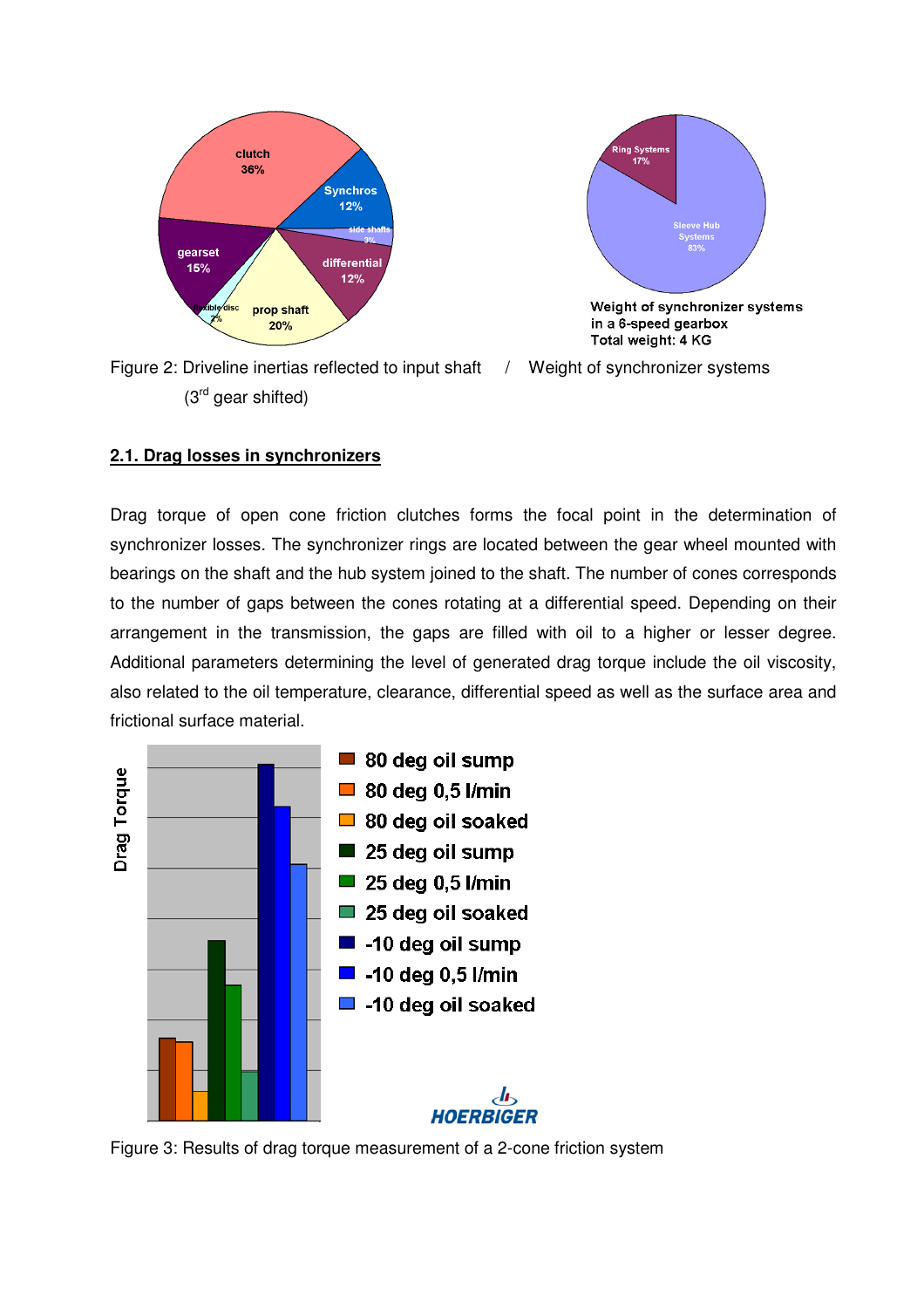



Figure 2: Driveline inertias reflected to input shaft / Weight of synchronizer systems (3rd gear shifted)



## **2.1. Drag losses in synchronizers**

Drag torque of open cone friction clutches forms the focal point in the determination of synchronizer losses. The synchronizer rings are located between the gear wheel mounted with bearings on the shaft and the hub system joined to the shaft. The number of cones corresponds to the number of gaps between the cones rotating at a differential speed. Depending on their arrangement in the transmission, the gaps are filled with oil to a higher or lesser degree. Additional parameters determining the level of generated drag torque include the oil viscosity, also related to the oil temperature, clearance, differential speed as well as the surface area and frictional surface material.



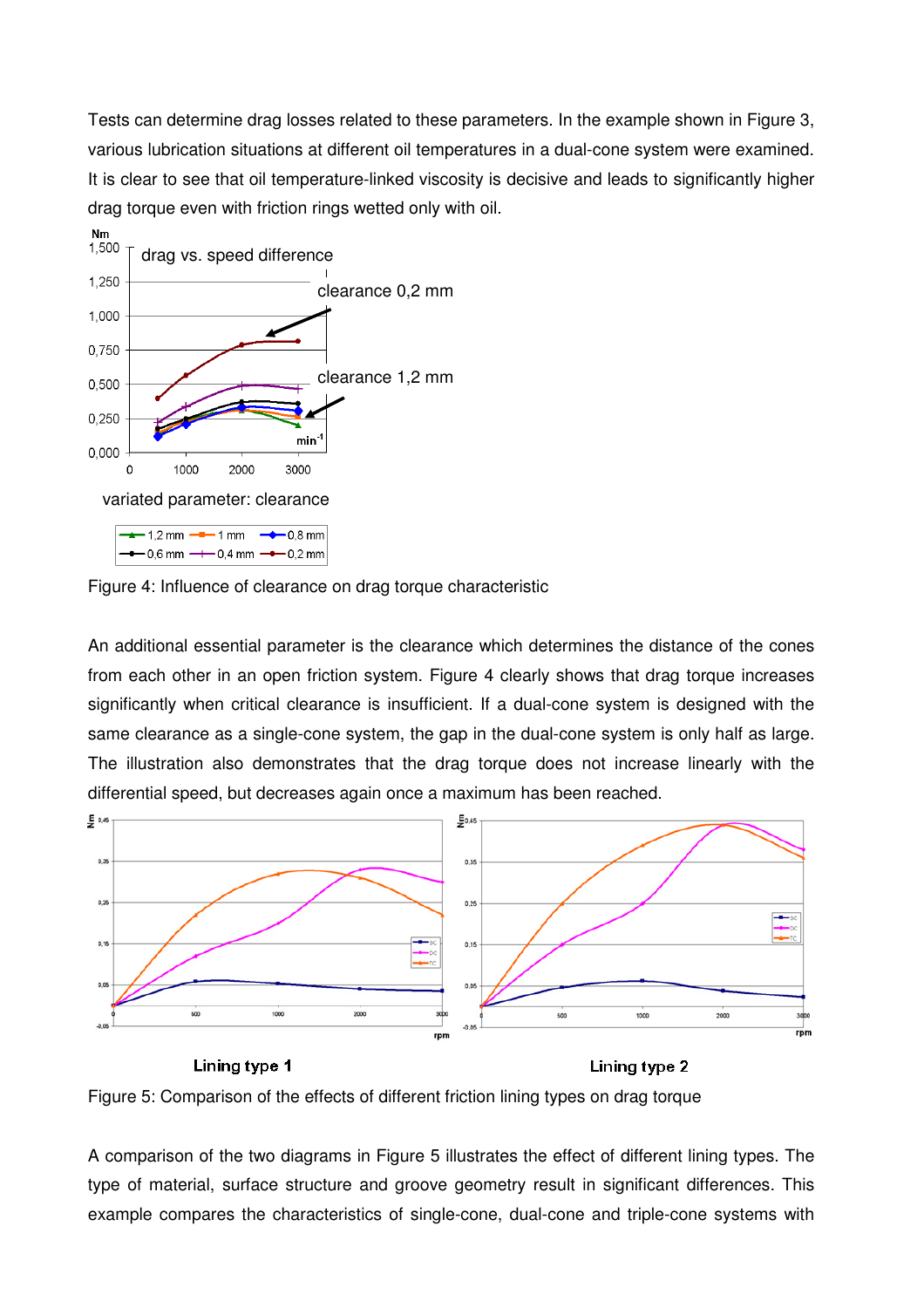Tests can determine drag losses related to these parameters. In the example shown in Figure 3, various lubrication situations at different oil temperatures in a dual-cone system were examined. It is clear to see that oil temperature-linked viscosity is decisive and leads to significantly higher drag torque even with friction rings wetted only with oil.





An additional essential parameter is the clearance which determines the distance of the cones from each other in an open friction system. Figure 4 clearly shows that drag torque increases significantly when critical clearance is insufficient. If a dual-cone system is designed with the same clearance as a single-cone system, the gap in the dual-cone system is only half as large. The illustration also demonstrates that the drag torque does not increase linearly with the differential speed, but decreases again once a maximum has been reached.



Lining type 1 Lining type 2

Figure 5: Comparison of the effects of different friction lining types on drag torque

A comparison of the two diagrams in Figure 5 illustrates the effect of different lining types. The type of material, surface structure and groove geometry result in significant differences. This example compares the characteristics of single-cone, dual-cone and triple-cone systems with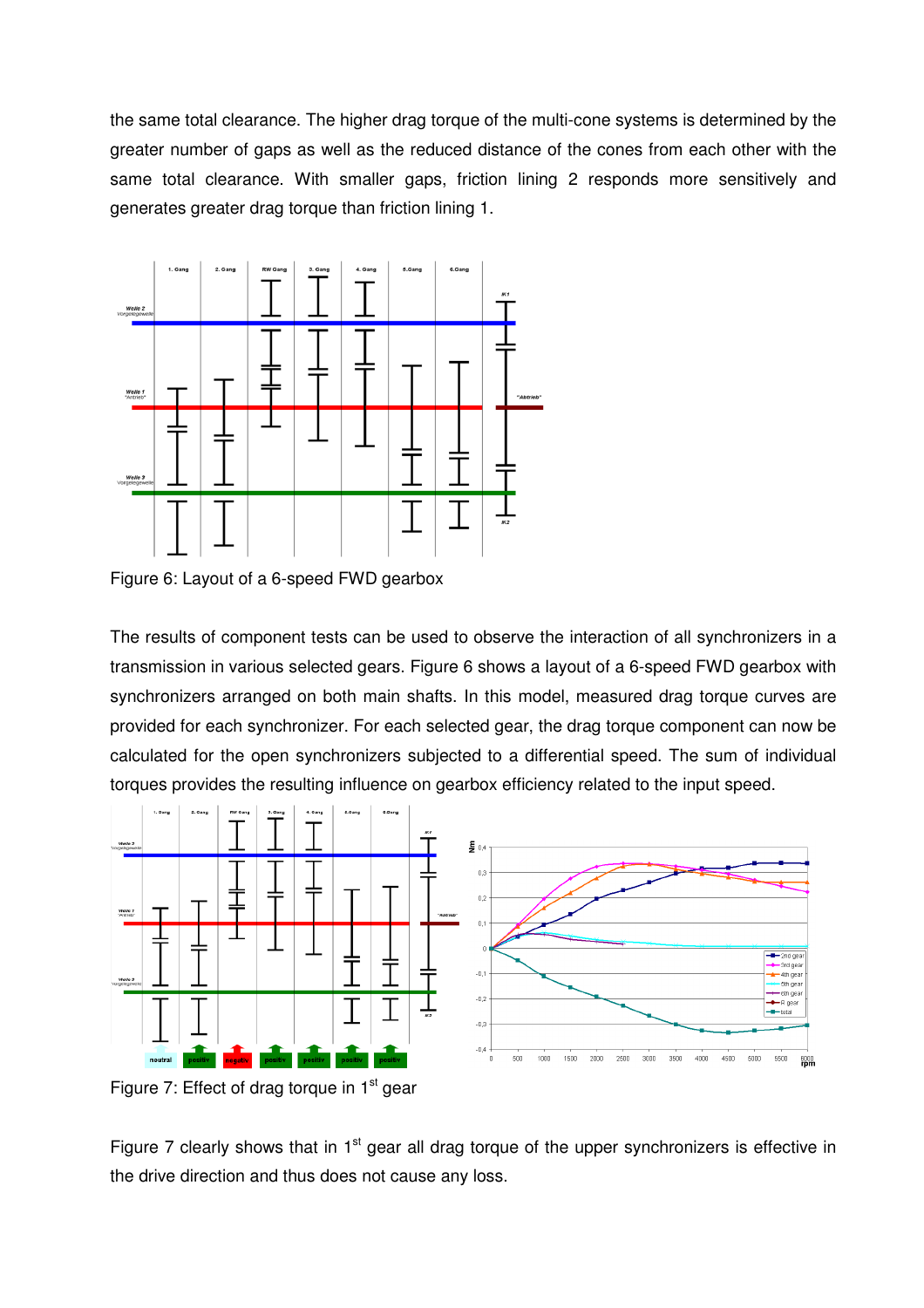the same total clearance. The higher drag torque of the multi-cone systems is determined by the greater number of gaps as well as the reduced distance of the cones from each other with the same total clearance. With smaller gaps, friction lining 2 responds more sensitively and generates greater drag torque than friction lining 1.



Figure 6: Layout of a 6-speed FWD gearbox

The results of component tests can be used to observe the interaction of all synchronizers in a transmission in various selected gears. Figure 6 shows a layout of a 6-speed FWD gearbox with synchronizers arranged on both main shafts. In this model, measured drag torque curves are provided for each synchronizer. For each selected gear, the drag torque component can now be calculated for the open synchronizers subjected to a differential speed. The sum of individual torques provides the resulting influence on gearbox efficiency related to the input speed.



Figure 7: Effect of drag torque in  $1<sup>st</sup>$  gear

Figure 7 clearly shows that in 1<sup>st</sup> gear all drag torque of the upper synchronizers is effective in the drive direction and thus does not cause any loss.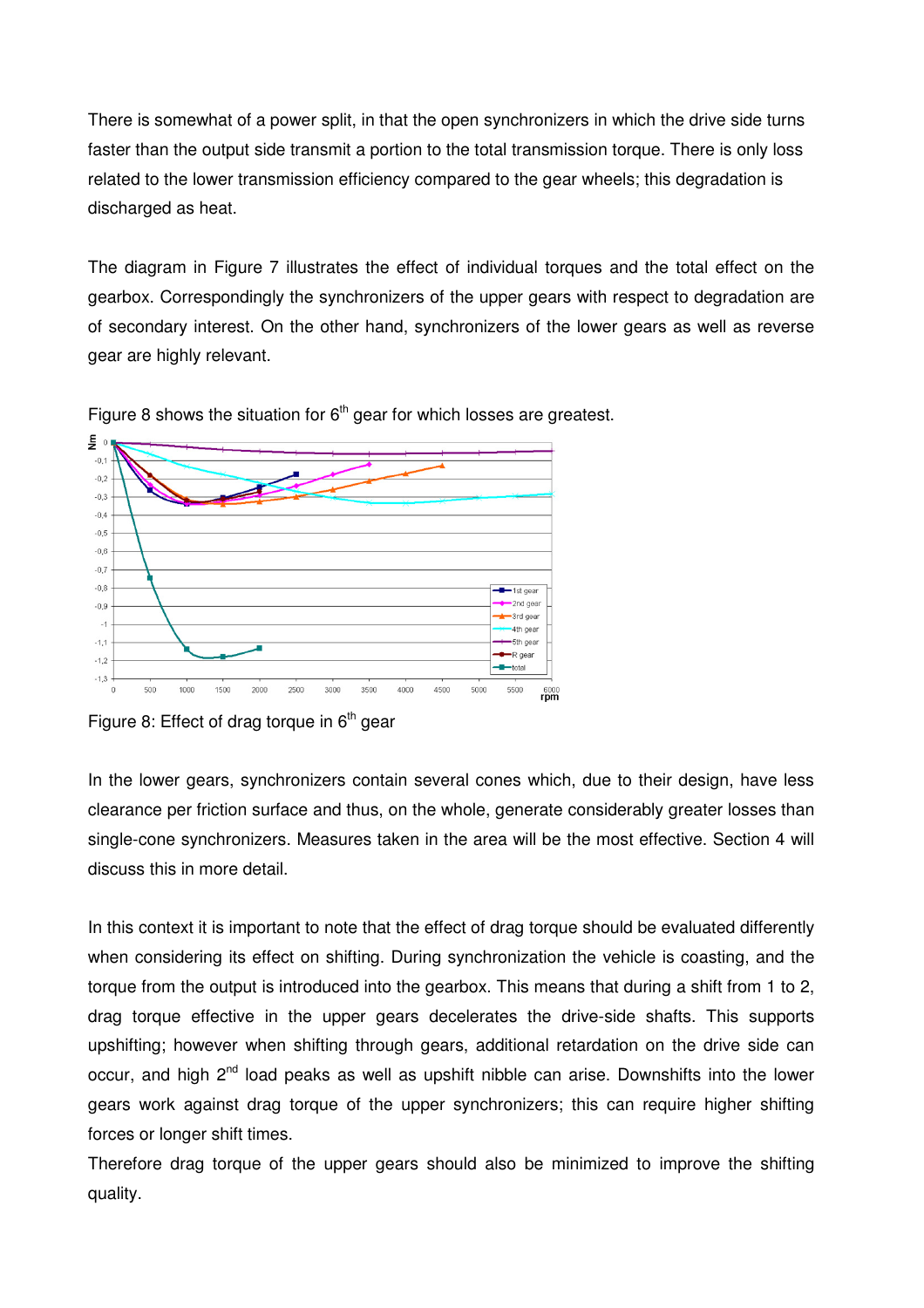There is somewhat of a power split, in that the open synchronizers in which the drive side turns faster than the output side transmit a portion to the total transmission torque. There is only loss related to the lower transmission efficiency compared to the gear wheels; this degradation is discharged as heat.

The diagram in Figure 7 illustrates the effect of individual torques and the total effect on the gearbox. Correspondingly the synchronizers of the upper gears with respect to degradation are of secondary interest. On the other hand, synchronizers of the lower gears as well as reverse gear are highly relevant.



Figure 8 shows the situation for  $6<sup>th</sup>$  gear for which losses are greatest.

In the lower gears, synchronizers contain several cones which, due to their design, have less clearance per friction surface and thus, on the whole, generate considerably greater losses than single-cone synchronizers. Measures taken in the area will be the most effective. Section 4 will discuss this in more detail.

In this context it is important to note that the effect of drag torque should be evaluated differently when considering its effect on shifting. During synchronization the vehicle is coasting, and the torque from the output is introduced into the gearbox. This means that during a shift from 1 to 2, drag torque effective in the upper gears decelerates the drive-side shafts. This supports upshifting; however when shifting through gears, additional retardation on the drive side can occur, and high 2<sup>nd</sup> load peaks as well as upshift nibble can arise. Downshifts into the lower gears work against drag torque of the upper synchronizers; this can require higher shifting forces or longer shift times.

Therefore drag torque of the upper gears should also be minimized to improve the shifting quality.

Figure 8: Effect of drag torque in  $6<sup>th</sup>$  gear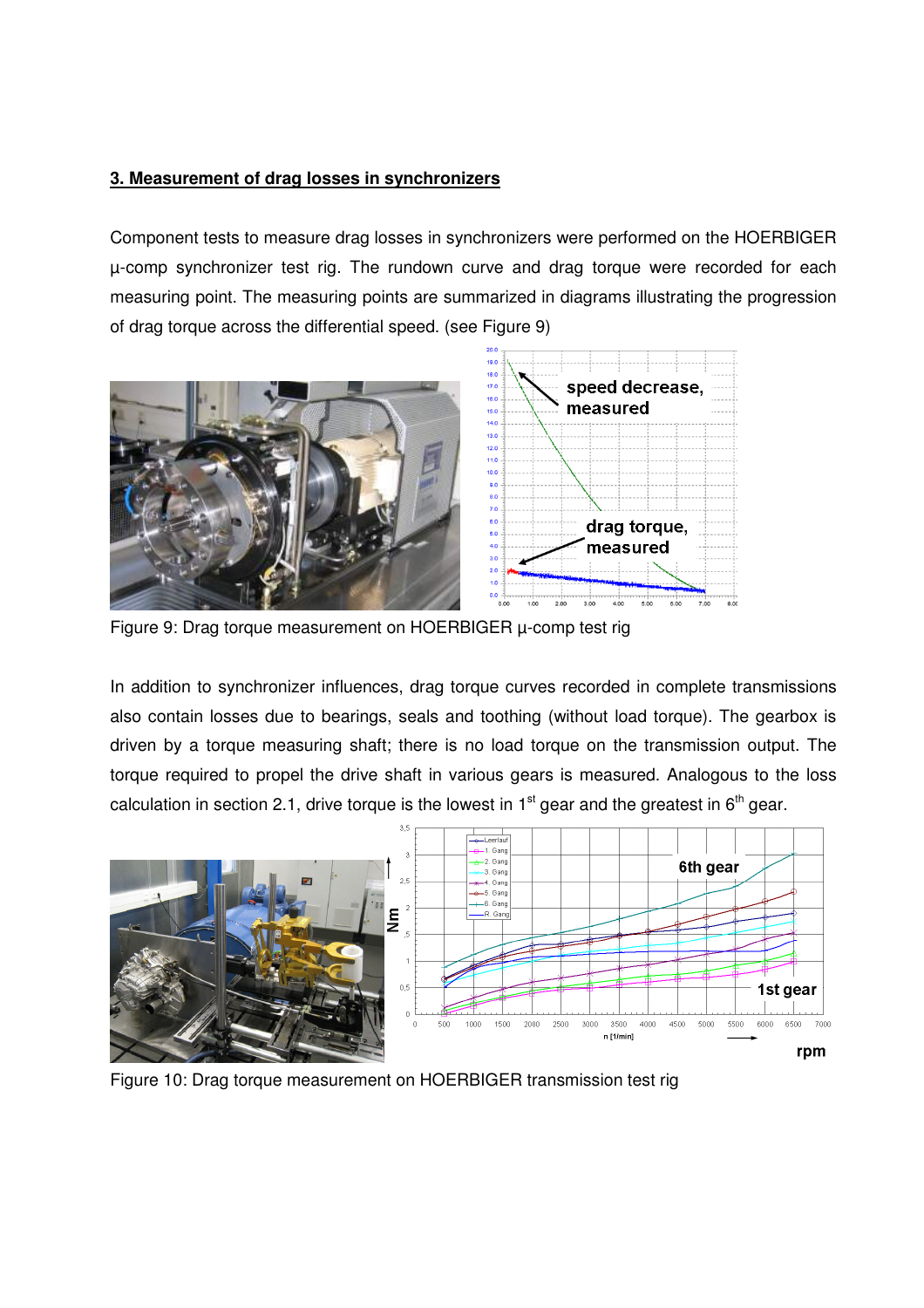### **3. Measurement of drag losses in synchronizers**

Component tests to measure drag losses in synchronizers were performed on the HOERBIGER µ-comp synchronizer test rig. The rundown curve and drag torque were recorded for each measuring point. The measuring points are summarized in diagrams illustrating the progression of drag torque across the differential speed. (see Figure 9)



Figure 9: Drag torque measurement on HOERBIGER µ-comp test rig

In addition to synchronizer influences, drag torque curves recorded in complete transmissions also contain losses due to bearings, seals and toothing (without load torque). The gearbox is driven by a torque measuring shaft; there is no load torque on the transmission output. The torque required to propel the drive shaft in various gears is measured. Analogous to the loss calculation in section 2.1, drive torque is the lowest in  $1<sup>st</sup>$  gear and the greatest in  $6<sup>th</sup>$  gear.



Figure 10: Drag torque measurement on HOERBIGER transmission test rig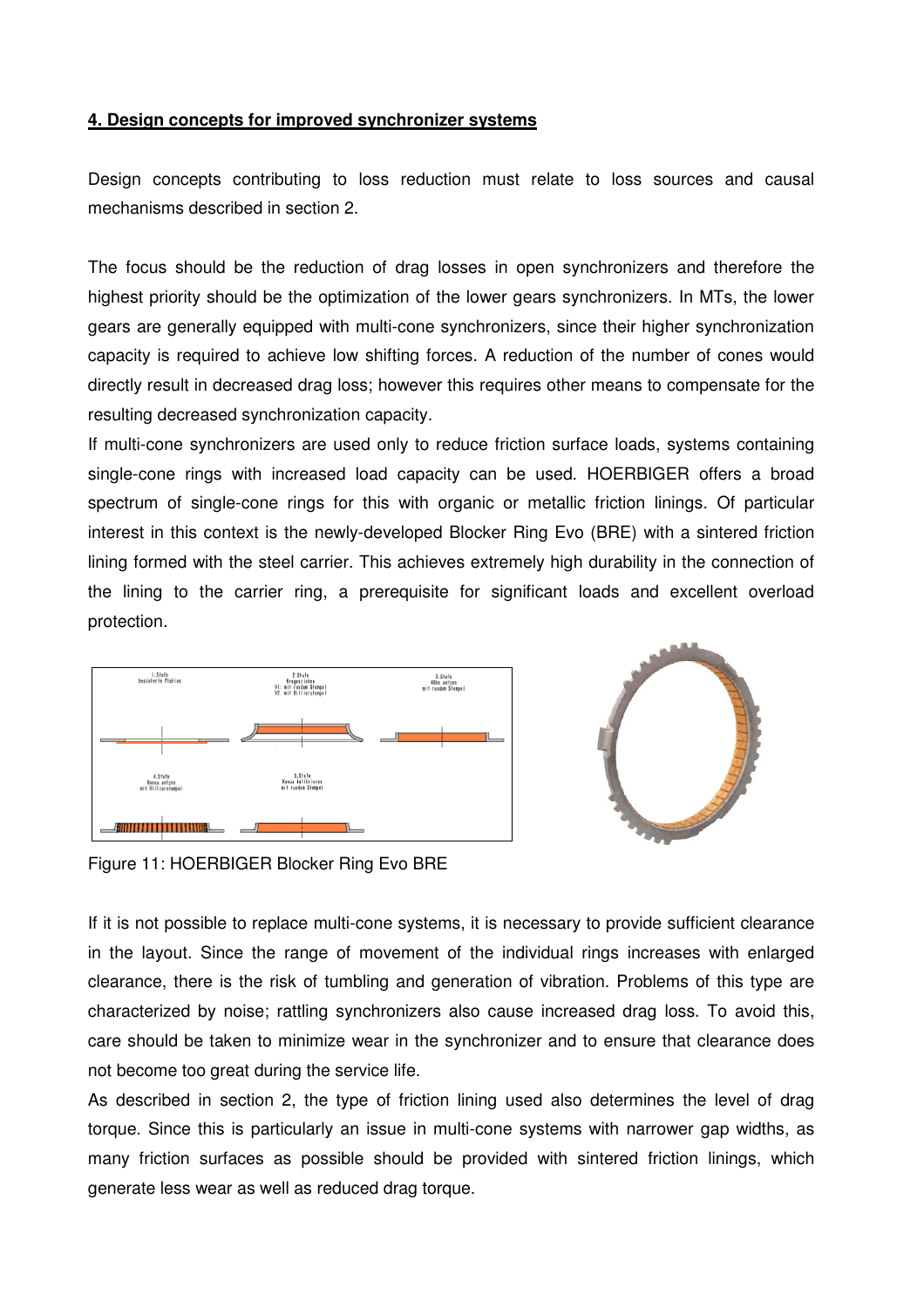### **4. Design concepts for improved synchronizer systems**

Design concepts contributing to loss reduction must relate to loss sources and causal mechanisms described in section 2.

The focus should be the reduction of drag losses in open synchronizers and therefore the highest priority should be the optimization of the lower gears synchronizers. In MTs, the lower gears are generally equipped with multi-cone synchronizers, since their higher synchronization capacity is required to achieve low shifting forces. A reduction of the number of cones would directly result in decreased drag loss; however this requires other means to compensate for the resulting decreased synchronization capacity.

If multi-cone synchronizers are used only to reduce friction surface loads, systems containing single-cone rings with increased load capacity can be used. HOERBIGER offers a broad spectrum of single-cone rings for this with organic or metallic friction linings. Of particular interest in this context is the newly-developed Blocker Ring Evo (BRE) with a sintered friction lining formed with the steel carrier. This achieves extremely high durability in the connection of the lining to the carrier ring, a prerequisite for significant loads and excellent overload protection.





Figure 11: HOERBIGER Blocker Ring Evo BRE

If it is not possible to replace multi-cone systems, it is necessary to provide sufficient clearance in the layout. Since the range of movement of the individual rings increases with enlarged clearance, there is the risk of tumbling and generation of vibration. Problems of this type are characterized by noise; rattling synchronizers also cause increased drag loss. To avoid this, care should be taken to minimize wear in the synchronizer and to ensure that clearance does not become too great during the service life.

As described in section 2, the type of friction lining used also determines the level of drag torque. Since this is particularly an issue in multi-cone systems with narrower gap widths, as many friction surfaces as possible should be provided with sintered friction linings, which generate less wear as well as reduced drag torque.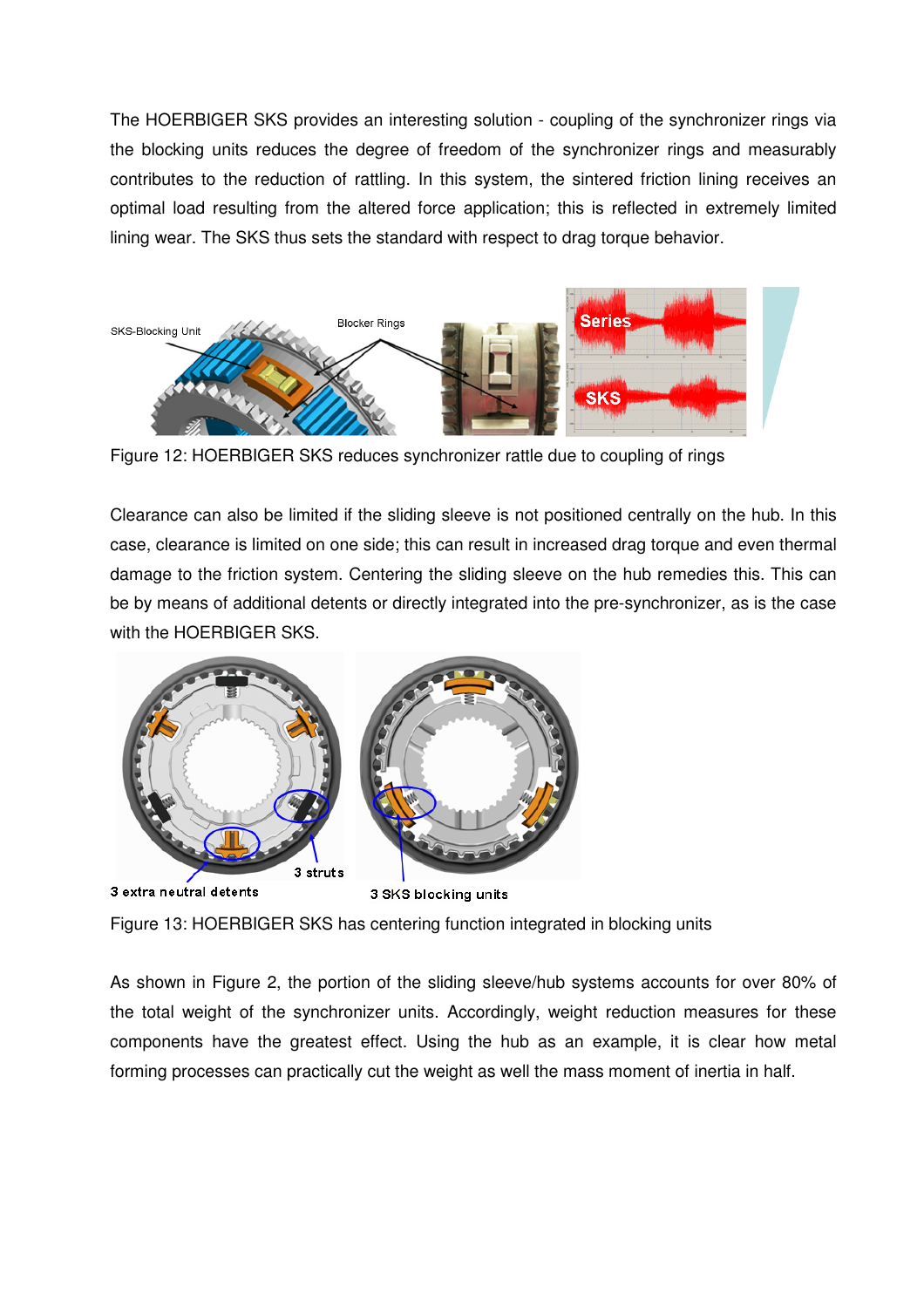The HOERBIGER SKS provides an interesting solution - coupling of the synchronizer rings via the blocking units reduces the degree of freedom of the synchronizer rings and measurably contributes to the reduction of rattling. In this system, the sintered friction lining receives an optimal load resulting from the altered force application; this is reflected in extremely limited lining wear. The SKS thus sets the standard with respect to drag torque behavior.



Figure 12: HOERBIGER SKS reduces synchronizer rattle due to coupling of rings

Clearance can also be limited if the sliding sleeve is not positioned centrally on the hub. In this case, clearance is limited on one side; this can result in increased drag torque and even thermal damage to the friction system. Centering the sliding sleeve on the hub remedies this. This can be by means of additional detents or directly integrated into the pre-synchronizer, as is the case with the HOERBIGER SKS.



Figure 13: HOERBIGER SKS has centering function integrated in blocking units

As shown in Figure 2, the portion of the sliding sleeve/hub systems accounts for over 80% of the total weight of the synchronizer units. Accordingly, weight reduction measures for these components have the greatest effect. Using the hub as an example, it is clear how metal forming processes can practically cut the weight as well the mass moment of inertia in half.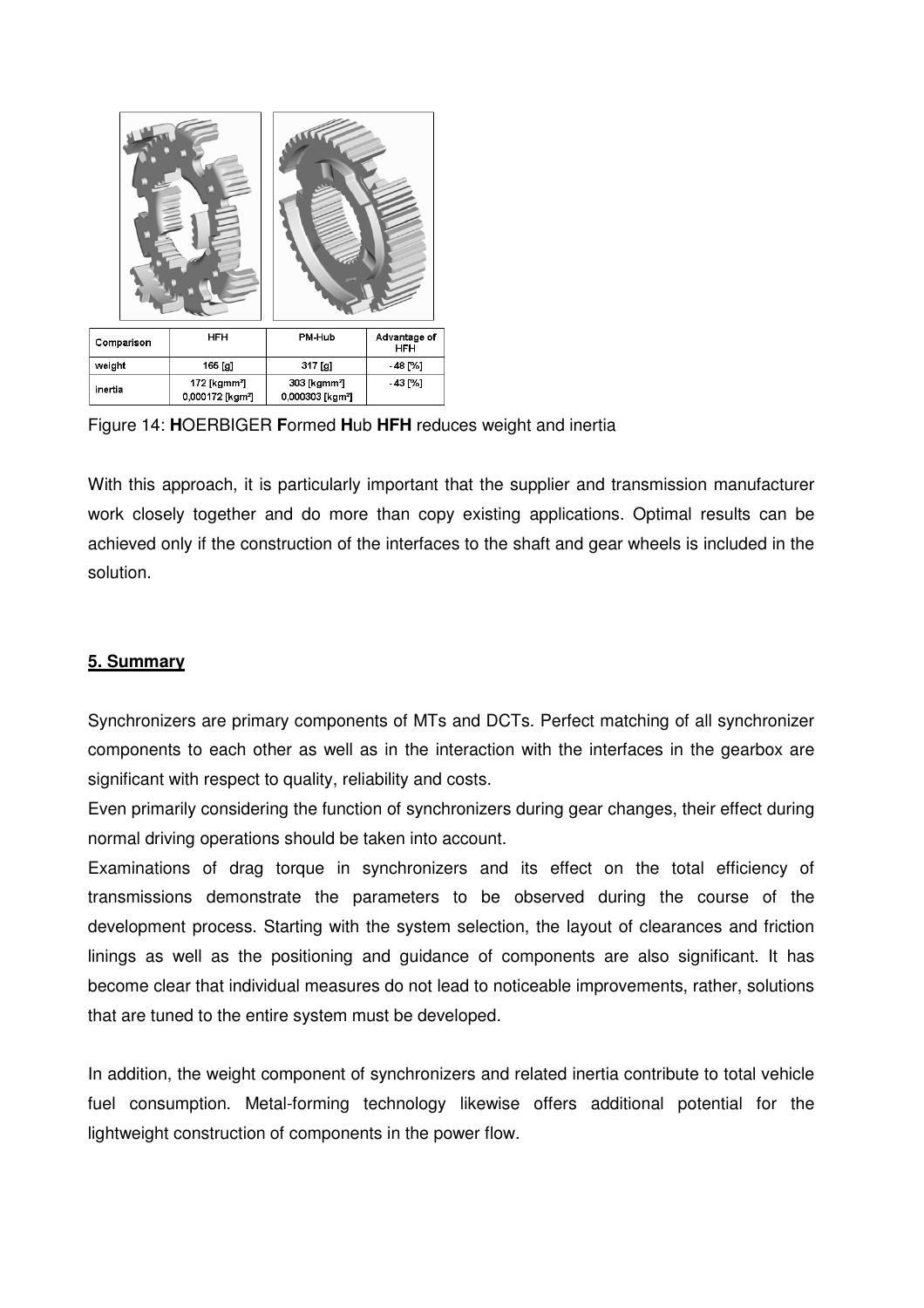

Figure 14: **H**OERBIGER **F**ormed **H**ub **HFH** reduces weight and inertia

With this approach, it is particularly important that the supplier and transmission manufacturer work closely together and do more than copy existing applications. Optimal results can be achieved only if the construction of the interfaces to the shaft and gear wheels is included in the solution.

## **5. Summary**

Synchronizers are primary components of MTs and DCTs. Perfect matching of all synchronizer components to each other as well as in the interaction with the interfaces in the gearbox are significant with respect to quality, reliability and costs.

Even primarily considering the function of synchronizers during gear changes, their effect during normal driving operations should be taken into account.

Examinations of drag torque in synchronizers and its effect on the total efficiency of transmissions demonstrate the parameters to be observed during the course of the development process. Starting with the system selection, the layout of clearances and friction linings as well as the positioning and guidance of components are also significant. It has become clear that individual measures do not lead to noticeable improvements, rather, solutions that are tuned to the entire system must be developed.

In addition, the weight component of synchronizers and related inertia contribute to total vehicle fuel consumption. Metal-forming technology likewise offers additional potential for the lightweight construction of components in the power flow.